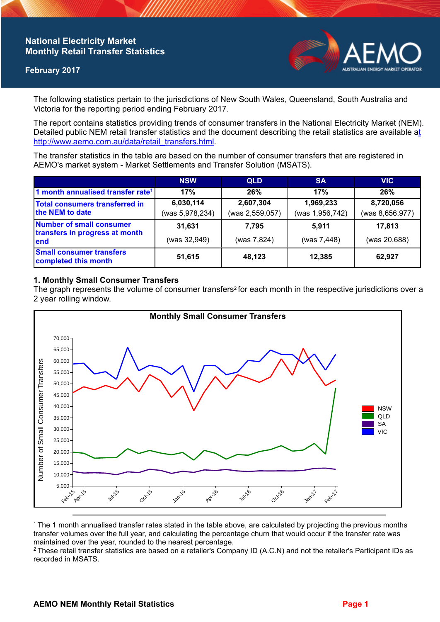## **National Electricity Market Monthly Retail Transfer Statistics**

### **February 2017**



The following statistics pertain to the jurisdictions of New South Wales, Queensland, South Australia and Victoria for the reporting period ending February 2017.

The report contains statistics providing trends of consumer transfers in the National Electricity Market (NEM). Detailed public NEM retail transfer statistics and the document describing the retail statistics are available a[t](http://www.aemo.com.au/data/retail_transfers.html)  http://www.aemo.com.au/data/retail\_transfers.html

The transfer statistics in the table are based on the number of consumer transfers that are registered in AEMO's market system - Market Settlements and Transfer Solution (MSATS).

|                                                                    | <b>NSW</b>      | <b>QLD</b>      | <b>SA</b>       | <b>VIC</b>      |
|--------------------------------------------------------------------|-----------------|-----------------|-----------------|-----------------|
| 1 month annualised transfer rate <sup>1</sup>                      | 17%             | 26%             | 17%             | 26%             |
| Total consumers transferred in<br>the NEM to date                  | 6,030,114       | 2,607,304       | 1,969,233       | 8,720,056       |
|                                                                    | (was 5,978,234) | (was 2,559,057) | (was 1,956,742) | (was 8,656,977) |
| Number of small consumer<br>transfers in progress at month<br>lend | 31,631          | 7.795           | 5,911           | 17,813          |
|                                                                    | (was 32,949)    | (was 7,824)     | (was 7,448)     | (was 20,688)    |
| <b>Small consumer transfers</b><br>completed this month            | 51,615          | 48,123          | 12,385          | 62,927          |

## **1. Monthly Small Consumer Transfers**

The graph represents the volume of consumer transfers<sup>2</sup> for each month in the respective jurisdictions over a 2 year rolling window.



<sup>1</sup>The 1 month annualised transfer rates stated in the table above, are calculated by projecting the previous months transfer volumes over the full year, and calculating the percentage churn that would occur if the transfer rate was maintained over the year, rounded to the nearest percentage.

<sup>2</sup> These retail transfer statistics are based on a retailer's Company ID (A.C.N) and not the retailer's Participant IDs as recorded in MSATS.